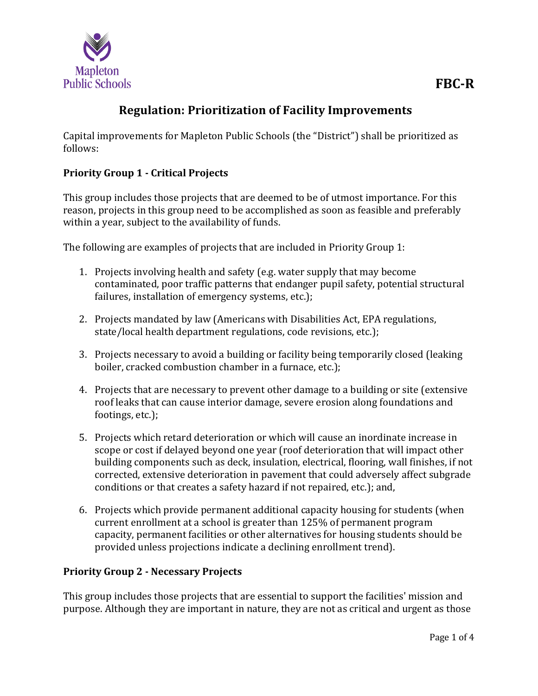

# **Regulation: Prioritization of Facility Improvements**

Capital improvements for Mapleton Public Schools (the "District") shall be prioritized as follows:

## **Priority Group 1 - Critical Projects**

This group includes those projects that are deemed to be of utmost importance. For this reason, projects in this group need to be accomplished as soon as feasible and preferably within a year, subject to the availability of funds.

The following are examples of projects that are included in Priority Group 1:

- 1. Projects involving health and safety (e.g. water supply that may become contaminated, poor traffic patterns that endanger pupil safety, potential structural failures, installation of emergency systems, etc.);
- 2. Projects mandated by law (Americans with Disabilities Act, EPA regulations, state/local health department regulations, code revisions, etc.);
- 3. Projects necessary to avoid a building or facility being temporarily closed (leaking boiler, cracked combustion chamber in a furnace, etc.);
- 4. Projects that are necessary to prevent other damage to a building or site (extensive roof leaks that can cause interior damage, severe erosion along foundations and footings, etc.);
- 5. Projects which retard deterioration or which will cause an inordinate increase in scope or cost if delayed beyond one year (roof deterioration that will impact other building components such as deck, insulation, electrical, flooring, wall finishes, if not corrected, extensive deterioration in pavement that could adversely affect subgrade conditions or that creates a safety hazard if not repaired, etc.); and,
- 6. Projects which provide permanent additional capacity housing for students (when current enrollment at a school is greater than 125% of permanent program capacity, permanent facilities or other alternatives for housing students should be provided unless projections indicate a declining enrollment trend).

## **Priority Group 2 - Necessary Projects**

This group includes those projects that are essential to support the facilities' mission and purpose. Although they are important in nature, they are not as critical and urgent as those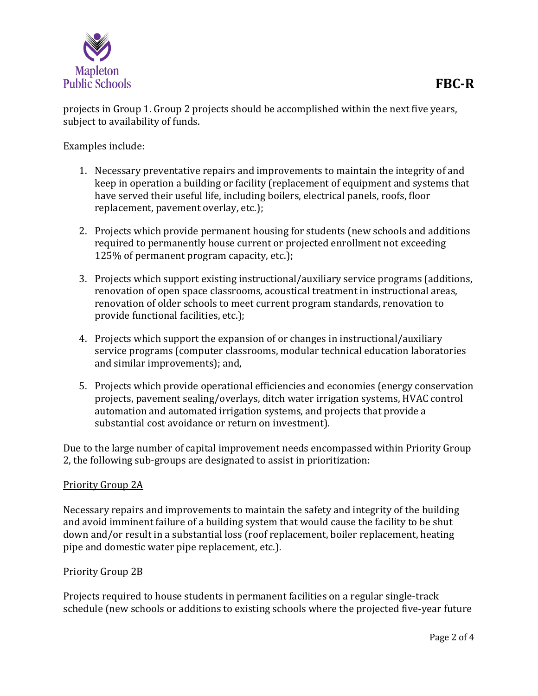

projects in Group 1. Group 2 projects should be accomplished within the next five years, subject to availability of funds.

Examples include:

- 1. Necessary preventative repairs and improvements to maintain the integrity of and keep in operation a building or facility (replacement of equipment and systems that have served their useful life, including boilers, electrical panels, roofs, floor replacement, pavement overlay, etc.);
- 2. Projects which provide permanent housing for students (new schools and additions required to permanently house current or projected enrollment not exceeding 125% of permanent program capacity, etc.);
- 3. Projects which support existing instructional/auxiliary service programs (additions, renovation of open space classrooms, acoustical treatment in instructional areas, renovation of older schools to meet current program standards, renovation to provide functional facilities, etc.);
- 4. Projects which support the expansion of or changes in instructional/auxiliary service programs (computer classrooms, modular technical education laboratories and similar improvements); and,
- 5. Projects which provide operational efficiencies and economies (energy conservation projects, pavement sealing/overlays, ditch water irrigation systems, HVAC control automation and automated irrigation systems, and projects that provide a substantial cost avoidance or return on investment).

Due to the large number of capital improvement needs encompassed within Priority Group 2, the following sub-groups are designated to assist in prioritization:

#### Priority Group 2A

Necessary repairs and improvements to maintain the safety and integrity of the building and avoid imminent failure of a building system that would cause the facility to be shut down and/or result in a substantial loss (roof replacement, boiler replacement, heating pipe and domestic water pipe replacement, etc.).

#### Priority Group 2B

Projects required to house students in permanent facilities on a regular single-track schedule (new schools or additions to existing schools where the projected five-year future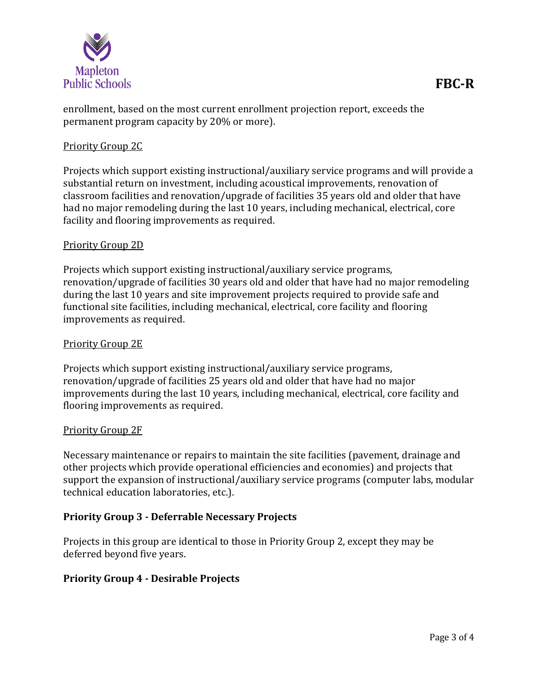

enrollment, based on the most current enrollment projection report, exceeds the permanent program capacity by 20% or more).

#### Priority Group 2C

Projects which support existing instructional/auxiliary service programs and will provide a substantial return on investment, including acoustical improvements, renovation of classroom facilities and renovation/upgrade of facilities 35 years old and older that have had no major remodeling during the last 10 years, including mechanical, electrical, core facility and flooring improvements as required.

#### Priority Group 2D

Projects which support existing instructional/auxiliary service programs, renovation/upgrade of facilities 30 years old and older that have had no major remodeling during the last 10 years and site improvement projects required to provide safe and functional site facilities, including mechanical, electrical, core facility and flooring improvements as required.

### Priority Group 2E

Projects which support existing instructional/auxiliary service programs, renovation/upgrade of facilities 25 years old and older that have had no major improvements during the last 10 years, including mechanical, electrical, core facility and flooring improvements as required.

#### Priority Group 2F

Necessary maintenance or repairs to maintain the site facilities (pavement, drainage and other projects which provide operational efficiencies and economies) and projects that support the expansion of instructional/auxiliary service programs (computer labs, modular technical education laboratories, etc.).

#### **Priority Group 3 - Deferrable Necessary Projects**

Projects in this group are identical to those in Priority Group 2, except they may be deferred beyond five years.

#### **Priority Group 4 - Desirable Projects**